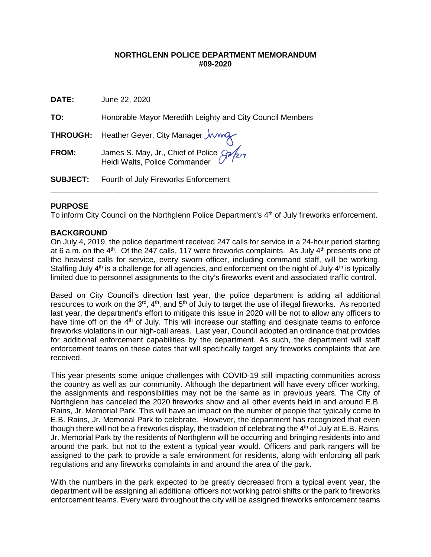## **NORTHGLENN POLICE DEPARTMENT MEMORANDUM #09-2020**

| <b>DATE:</b>    | June 22, 2020                                                               |
|-----------------|-----------------------------------------------------------------------------|
| TO:             | Honorable Mayor Meredith Leighty and City Council Members                   |
|                 | THROUGH: Heather Geyer, City Manager <i>Jwwg</i>                            |
| <b>FROM:</b>    | James S. May, Jr., Chief of Police 8/2/2/7<br>Heidi Walts, Police Commander |
| <b>SUBJECT:</b> | Fourth of July Fireworks Enforcement                                        |
|                 |                                                                             |

## **PURPOSE**

To inform City Council on the Northglenn Police Department's 4<sup>th</sup> of July fireworks enforcement.

## **BACKGROUND**

On July 4, 2019, the police department received 247 calls for service in a 24-hour period starting at 6 a.m. on the  $4<sup>th</sup>$ . Of the 247 calls, 117 were fireworks complaints. As July  $4<sup>th</sup>$  presents one of the heaviest calls for service, every sworn officer, including command staff, will be working. Staffing July  $4<sup>th</sup>$  is a challenge for all agencies, and enforcement on the night of July  $4<sup>th</sup>$  is typically limited due to personnel assignments to the city's fireworks event and associated traffic control.

Based on City Council's direction last year, the police department is adding all additional resources to work on the 3<sup>rd</sup>, 4<sup>th</sup>, and 5<sup>th</sup> of July to target the use of illegal fireworks. As reported last year, the department's effort to mitigate this issue in 2020 will be not to allow any officers to have time off on the  $4<sup>th</sup>$  of July. This will increase our staffing and designate teams to enforce fireworks violations in our high-call areas. Last year, Council adopted an ordinance that provides for additional enforcement capabilities by the department. As such, the department will staff enforcement teams on these dates that will specifically target any fireworks complaints that are received.

This year presents some unique challenges with COVID-19 still impacting communities across the country as well as our community. Although the department will have every officer working, the assignments and responsibilities may not be the same as in previous years. The City of Northglenn has canceled the 2020 fireworks show and all other events held in and around E.B. Rains, Jr. Memorial Park. This will have an impact on the number of people that typically come to E.B. Rains, Jr. Memorial Park to celebrate. However, the department has recognized that even though there will not be a fireworks display, the tradition of celebrating the  $4<sup>th</sup>$  of July at E.B. Rains, Jr. Memorial Park by the residents of Northglenn will be occurring and bringing residents into and around the park, but not to the extent a typical year would. Officers and park rangers will be assigned to the park to provide a safe environment for residents, along with enforcing all park regulations and any fireworks complaints in and around the area of the park.

With the numbers in the park expected to be greatly decreased from a typical event year, the department will be assigning all additional officers not working patrol shifts or the park to fireworks enforcement teams. Every ward throughout the city will be assigned fireworks enforcement teams